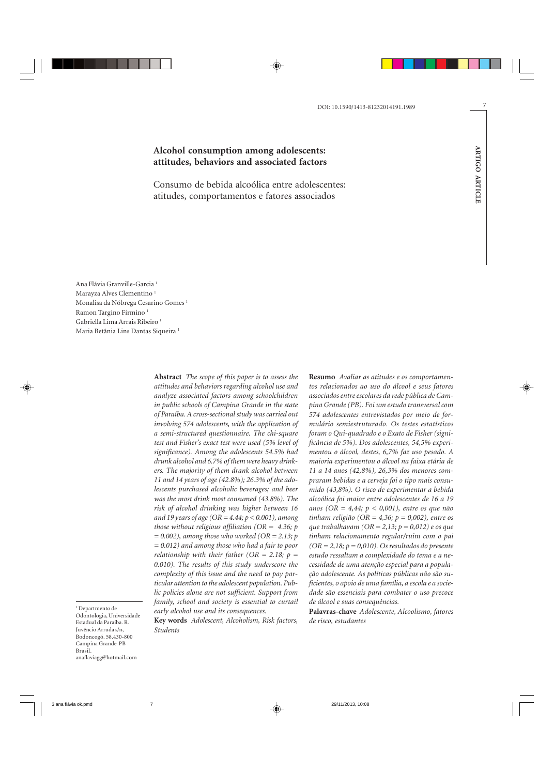# **Alcohol consumption among adolescents: attitudes, behaviors and associated factors**

Consumo de bebida alcoólica entre adolescentes: atitudes, comportamentos e fatores associados

Ana Flávia Granville-Garcia 1 Marayza Alves Clementino<sup>1</sup> Monalisa da Nóbrega Cesarino Gomes 1 Ramon Targino Firmino 1 Gabriella Lima Arrais Ribeiro $^{\rm 1}$ Maria Betânia Lins Dantas Siqueira 1

> **Abstract** *The scope of this paper is to assess the attitudes and behaviors regarding alcohol use and analyze associated factors among schoolchildren in public schools of Campina Grande in the state of Paraíba. A cross-sectional study was carried out involving 574 adolescents, with the application of a semi-structured questionnaire. The chi-square test and Fisher's exact test were used (5% level of significance). Among the adolescents 54.5% had drunk alcohol and 6.7% of them were heavy drinkers. The majority of them drank alcohol between 11 and 14 years of age (42.8%); 26.3% of the adolescents purchased alcoholic beverages; and beer was the most drink most consumed (43.8%). The risk of alcohol drinking was higher between 16 and 19 years of age (OR = 4.44; p < 0.001), among those without religious affiliation (OR = 4.36; p = 0.002), among those who worked (OR = 2.13; p = 0.012) and among those who had a fair to poor relationship with their father (OR = 2.18; p = 0.010). The results of this study underscore the complexity of this issue and the need to pay particular attention to the adolescent population. Public policies alone are not sufficient. Support from family, school and society is essential to curtail early alcohol use and its consequences.*

1 Departmento de Odontologia, Universidade Estadual da Paraíba. R. Juvêncio Arruda s/n, Bodoncogó. 58.430-800 Campina Grande PB Brasil. anaflaviagg@hotmail.com

**Key words** *Adolescent, Alcoholism, Risk factors, Students*

**Resumo** *Avaliar as atitudes e os comportamentos relacionados ao uso do álcool e seus fatores associados entre escolares da rede pública de Campina Grande (PB). Foi um estudo transversal com 574 adolescentes entrevistados por meio de formulário semiestruturado. Os testes estatísticos foram o Qui-quadrado e o Exato de Fisher (significância de 5%). Dos adolescentes, 54,5% experimentou o álcool, destes, 6,7% faz uso pesado. A maioria experimentou o álcool na faixa etária de 11 a 14 anos (42,8%), 26,3% dos menores compraram bebidas e a cerveja foi o tipo mais consumido (43,8%). O risco de experimentar a bebida alcoólica foi maior entre adolescentes de 16 a 19 anos (OR = 4,44; p < 0,001), entre os que não tinham religião (OR = 4,36; p = 0,002), entre os que trabalhavam (OR = 2,13; p = 0,012) e os que tinham relacionamento regular/ruim com o pai (OR = 2,18; p = 0,010). Os resultados do presente estudo ressaltam a complexidade do tema e a necessidade de uma atenção especial para a população adolescente. As políticas públicas não são suficientes, o apoio de uma família, a escola e a sociedade são essenciais para combater o uso precoce de álcool e suas consequências.*

**Palavras-chave** *Adolescente, Alcoolismo, fatores de risco, estudantes*

**ARTIGO ARTICLE**

**ARTIGO ARTICLE**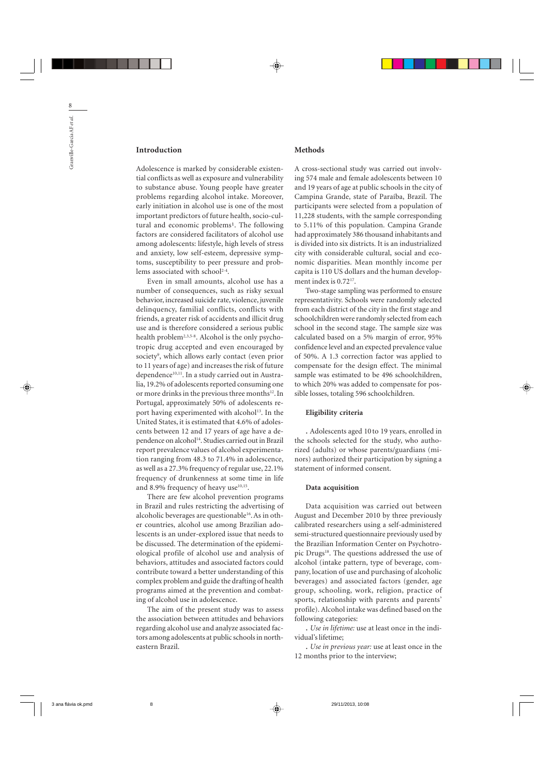## **Introduction**

Adolescence is marked by considerable existential conflicts as well as exposure and vulnerability to substance abuse. Young people have greater problems regarding alcohol intake. Moreover, early initiation in alcohol use is one of the most important predictors of future health, socio-cultural and economic problems<sup>1</sup>. The following factors are considered facilitators of alcohol use among adolescents: lifestyle, high levels of stress and anxiety, low self-esteem, depressive symptoms, susceptibility to peer pressure and problems associated with school<sup>2-4</sup>.

Even in small amounts, alcohol use has a number of consequences, such as risky sexual behavior, increased suicide rate, violence, juvenile delinquency, familial conflicts, conflicts with friends, a greater risk of accidents and illicit drug use and is therefore considered a serious public health problem<sup>2,3,5-8</sup>. Alcohol is the only psychotropic drug accepted and even encouraged by society9 , which allows early contact (even prior to 11 years of age) and increases the risk of future dependence<sup>10,11</sup>. In a study carried out in Australia, 19.2% of adolescents reported consuming one or more drinks in the previous three months<sup>12</sup>. In Portugal, approximately 50% of adolescents report having experimented with alcohol<sup>13</sup>. In the United States, it is estimated that 4.6% of adolescents between 12 and 17 years of age have a dependence on alcohol<sup>14</sup>. Studies carried out in Brazil report prevalence values of alcohol experimentation ranging from 48.3 to 71.4% in adolescence, as well as a 27.3% frequency of regular use, 22.1% frequency of drunkenness at some time in life and 8.9% frequency of heavy use $10,15$ .

There are few alcohol prevention programs in Brazil and rules restricting the advertising of alcoholic beverages are questionable<sup>16</sup>. As in other countries, alcohol use among Brazilian adolescents is an under-explored issue that needs to be discussed. The determination of the epidemiological profile of alcohol use and analysis of behaviors, attitudes and associated factors could contribute toward a better understanding of this complex problem and guide the drafting of health programs aimed at the prevention and combating of alcohol use in adolescence.

The aim of the present study was to assess the association between attitudes and behaviors regarding alcohol use and analyze associated factors among adolescents at public schools in northeastern Brazil.

### **Methods**

A cross-sectional study was carried out involving 574 male and female adolescents between 10 and 19 years of age at public schools in the city of Campina Grande, state of Paraíba, Brazil. The participants were selected from a population of 11,228 students, with the sample corresponding to 5.11% of this population. Campina Grande had approximately 386 thousand inhabitants and is divided into six districts. It is an industrialized city with considerable cultural, social and economic disparities. Mean monthly income per capita is 110 US dollars and the human development index is  $0.72^{17}$ .

Two-stage sampling was performed to ensure representativity. Schools were randomly selected from each district of the city in the first stage and schoolchildren were randomly selected from each school in the second stage. The sample size was calculated based on a 5% margin of error, 95% confidence level and an expected prevalence value of 50%. A 1.3 correction factor was applied to compensate for the design effect. The minimal sample was estimated to be 496 schoolchildren, to which 20% was added to compensate for possible losses, totaling 596 schoolchildren.

## **Eligibility criteria**

. Adolescents aged 10 to 19 years, enrolled in the schools selected for the study, who authorized (adults) or whose parents/guardians (minors) authorized their participation by signing a statement of informed consent.

#### **Data acquisition**

Data acquisition was carried out between August and December 2010 by three previously calibrated researchers using a self-administered semi-structured questionnaire previously used by the Brazilian Information Center on Psychotropic Drugs<sup>18</sup>. The questions addressed the use of alcohol (intake pattern, type of beverage, company, location of use and purchasing of alcoholic beverages) and associated factors (gender, age group, schooling, work, religion, practice of sports, relationship with parents and parents' profile). Alcohol intake was defined based on the following categories:

. *Use in lifetime:* use at least once in the individual's lifetime;

. *Use in previous year:* use at least once in the 12 months prior to the interview;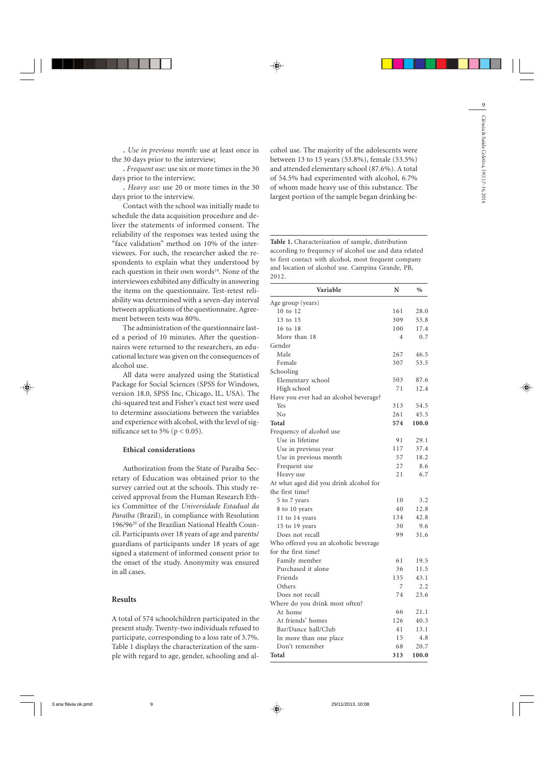. *Use in previous month:* use at least once in the 30 days prior to the interview;

. *Frequent use:* use six or more times in the 30 days prior to the interview;

. *Heavy use:* use 20 or more times in the 30 days prior to the interview.

Contact with the school was initially made to schedule the data acquisition procedure and deliver the statements of informed consent. The reliability of the responses was tested using the "face validation" method on 10% of the interviewees. For such, the researcher asked the respondents to explain what they understood by each question in their own words<sup>19</sup>. None of the interviewees exhibited any difficulty in answering the items on the questionnaire. Test-retest reliability was determined with a seven-day interval between applications of the questionnaire. Agreement between tests was 80%.

The administration of the questionnaire lasted a period of 10 minutes. After the questionnaires were returned to the researchers, an educational lecture was given on the consequences of alcohol use.

All data were analyzed using the Statistical Package for Social Sciences (SPSS for Windows, version 18.0, SPSS Inc, Chicago, IL, USA). The chi-squared test and Fisher's exact test were used to determine associations between the variables and experience with alcohol, with the level of significance set to 5% ( $p < 0.05$ ).

### **Ethical considerations**

Authorization from the State of Paraíba Secretary of Education was obtained prior to the survey carried out at the schools. This study received approval from the Human Research Ethics Committee of the *Universidade Estadual da Paraíba* (Brazil), in compliance with Resolution 196/9620 of the Brazilian National Health Council. Participants over 18 years of age and parents/ guardians of participants under 18 years of age signed a statement of informed consent prior to the onset of the study. Anonymity was ensured in all cases.

#### **Results**

A total of 574 schoolchildren participated in the present study. Twenty-two individuals refused to participate, corresponding to a loss rate of 3.7%. Table 1 displays the characterization of the sample with regard to age, gender, schooling and al-

cohol use. The majority of the adolescents were between 13 to 15 years (53.8%), female (53.5%) and attended elementary school (87.6%). A total of 54.5% had experimented with alcohol, 6.7% of whom made heavy use of this substance. The largest portion of the sample began drinking be-

**Table 1.** Characterization of sample, distribution according to frequency of alcohol use and data related to first contact with alcohol, most frequent company and location of alcohol use. Campina Grande, PB, 2012.

| Variable                               | N   | $\%$  |
|----------------------------------------|-----|-------|
| Age group (years)                      |     |       |
| 10 to 12                               | 161 | 28.0  |
| 13 to 15                               | 309 | 53.8  |
| 16 to 18                               | 100 | 17.4  |
| More than 18                           | 4   | 0.7   |
| Gender                                 |     |       |
| Male                                   | 267 | 46.5  |
| Female                                 | 307 | 53.5  |
| Schooling                              |     |       |
| Elementary school                      | 503 | 87.6  |
| High school                            | 71  | 12.4  |
| Have you ever had an alcohol beverage? |     |       |
| Yes                                    | 313 | 54.5  |
| No                                     | 261 | 45.5  |
| Total                                  | 574 | 100.0 |
| Frequency of alcohol use               |     |       |
| Use in lifetime                        | 91  | 29.1  |
| Use in previous year                   | 117 | 37.4  |
| Use in previous month                  | 57  | 18.2  |
| Frequent use                           | 27  | 8.6   |
| Heavy use                              | 21  | 6.7   |
| At what aged did you drink alcohol for |     |       |
| the first time?                        |     |       |
| 5 to 7 years                           | 10  | 3.2   |
| 8 to 10 years                          | 40  | 12.8  |
| 11 to 14 years                         | 134 | 42.8  |
| 15 to 19 years                         | 30  | 9.6   |
| Does not recall                        | 99  | 31.6  |
| Who offered you an alcoholic beverage  |     |       |
| for the first time?                    |     |       |
| Family member                          | 61  | 19.5  |
| Purchased it alone                     | 36  | 11.5  |
| Friends                                | 135 | 43.1  |
| Others                                 | 7   | 2.2   |
| Does not recall                        | 74  | 23.6  |
| Where do you drink most often?         |     |       |
| At home                                | 66  | 21.1  |
| At friends' homes                      | 126 | 40.3  |
| Bar/Dance hall/Club                    | 41  | 13.1  |
| In more than one place                 | 15  | 4.8   |
| Don't remember                         | 68  | 20.7  |
| Total                                  | 313 | 100.0 |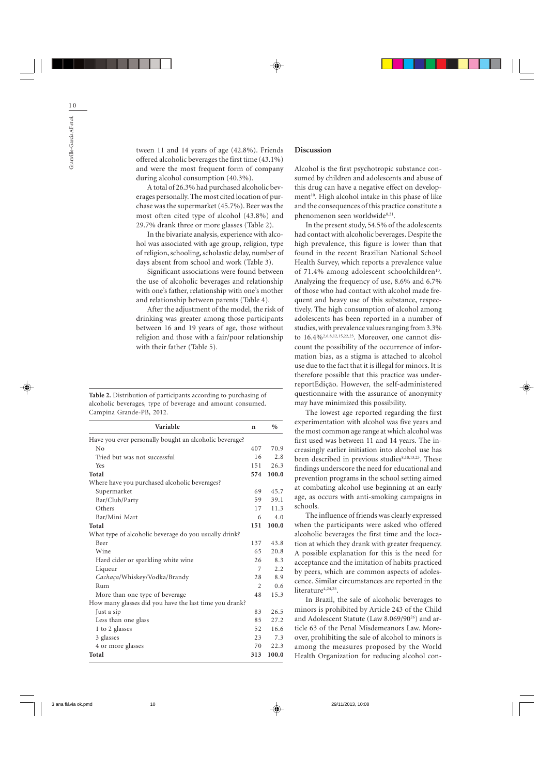tween 11 and 14 years of age (42.8%). Friends offered alcoholic beverages the first time (43.1%) and were the most frequent form of company during alcohol consumption (40.3%).

A total of 26.3% had purchased alcoholic beverages personally. The most cited location of purchase was the supermarket (45.7%). Beer was the most often cited type of alcohol (43.8%) and 29.7% drank three or more glasses (Table 2).

In the bivariate analysis, experience with alcohol was associated with age group, religion, type of religion, schooling, scholastic delay, number of days absent from school and work (Table 3).

Significant associations were found between the use of alcoholic beverages and relationship with one's father, relationship with one's mother and relationship between parents (Table 4).

After the adjustment of the model, the risk of drinking was greater among those participants between 16 and 19 years of age, those without religion and those with a fair/poor relationship with their father (Table 5).

**Table 2.** Distribution of participants according to purchasing of alcoholic beverages, type of beverage and amount consumed. Campina Grande-PB, 2012.

| Variable                                               | n                           | $\%$  |
|--------------------------------------------------------|-----------------------------|-------|
| Have you ever personally bought an alcoholic beverage? |                             |       |
| No                                                     | 407                         | 70.9  |
| Tried but was not successful                           | 16                          | 2.8   |
| <b>Yes</b>                                             | 151                         | 26.3  |
| Total                                                  | 574                         | 100.0 |
| Where have you purchased alcoholic beverages?          |                             |       |
| Supermarket                                            | 69                          | 45.7  |
| Bar/Club/Party                                         | 59                          | 39.1  |
| Others                                                 | 17                          | 11.3  |
| Bar/Mini Mart                                          | 6                           | 4.0   |
| Total                                                  | 151                         | 100.0 |
| What type of alcoholic beverage do you usually drink?  |                             |       |
| Beer                                                   | 137                         | 43.8  |
| Wine                                                   | 65                          | 20.8  |
| Hard cider or sparkling white wine                     | 2.6                         | 8.3   |
| Liqueur                                                | 7                           | 2.2   |
| Cachaça/Whiskey/Vodka/Brandy                           | 28                          | 8.9   |
| Rum                                                    | $\mathcal{D}_{\mathcal{L}}$ | 0.6   |
| More than one type of beverage                         | 48                          | 15.3  |
| How many glasses did you have the last time you drank? |                             |       |
| Just a sip                                             | 83                          | 26.5  |
| Less than one glass                                    | 85                          | 27.2  |
| 1 to 2 glasses                                         | 52                          | 16.6  |
| 3 glasses                                              | 23                          | 7.3   |
| 4 or more glasses                                      | 70                          | 22.3  |
| Total                                                  | 313                         | 100.0 |

## **Discussion**

Alcohol is the first psychotropic substance consumed by children and adolescents and abuse of this drug can have a negative effect on development<sup>10</sup>. High alcohol intake in this phase of like and the consequences of this practice constitute a phenomenon seen worldwide<sup>8,21</sup>.

In the present study, 54.5% of the adolescents had contact with alcoholic beverages. Despite the high prevalence, this figure is lower than that found in the recent Brazilian National School Health Survey, which reports a prevalence value of 71.4% among adolescent schoolchildren<sup>10</sup>. Analyzing the frequency of use, 8.6% and 6.7% of those who had contact with alcohol made frequent and heavy use of this substance, respectively. The high consumption of alcohol among adolescents has been reported in a number of studies, with prevalence values ranging from 3.3% to 16.4%2,6,8,12,15,22,23. Moreover, one cannot discount the possibility of the occurrence of information bias, as a stigma is attached to alcohol use due to the fact that it is illegal for minors. It is therefore possible that this practice was underreportEdição. However, the self-administered questionnaire with the assurance of anonymity may have minimized this possibility.

The lowest age reported regarding the first experimentation with alcohol was five years and the most common age range at which alcohol was first used was between 11 and 14 years. The increasingly earlier initiation into alcohol use has been described in previous studies<sup>8,10,13,23</sup>. These findings underscore the need for educational and prevention programs in the school setting aimed at combating alcohol use beginning at an early age, as occurs with anti-smoking campaigns in schools.

The influence of friends was clearly expressed when the participants were asked who offered alcoholic beverages the first time and the location at which they drank with greater frequency. A possible explanation for this is the need for acceptance and the imitation of habits practiced by peers, which are common aspects of adolescence. Similar circumstances are reported in the literature<sup>4,24,25</sup>.

In Brazil, the sale of alcoholic beverages to minors is prohibited by Article 243 of the Child and Adolescent Statute (Law 8.069/9026) and article 63 of the Penal Misdemeanors Law. Moreover, prohibiting the sale of alcohol to minors is among the measures proposed by the World Health Organization for reducing alcohol con-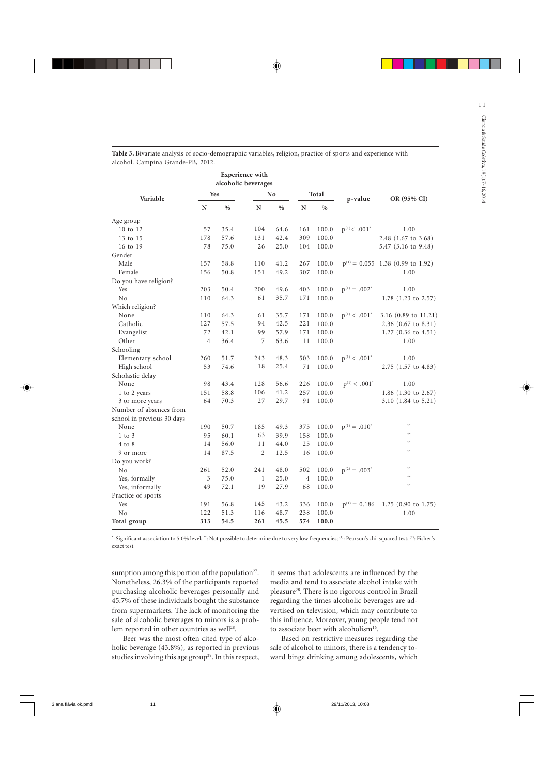|                            | Experience with<br>alcoholic beverages |               |                |      |                |       |                               |                                       |
|----------------------------|----------------------------------------|---------------|----------------|------|----------------|-------|-------------------------------|---------------------------------------|
| Variable                   | Yes                                    |               | No             |      | Total          |       | p-value                       | OR (95% CI)                           |
|                            | N                                      | $\frac{0}{0}$ | N              | $\%$ | ${\bf N}$      | $\%$  |                               |                                       |
| Age group                  |                                        |               |                |      |                |       |                               |                                       |
| 10 to 12                   | 57                                     | 35.4          | 104            | 64.6 | 161            | 100.0 | $p^{(1)}$ < .001 <sup>*</sup> | 1.00                                  |
| 13 to 15                   | 178                                    | 57.6          | 131            | 42.4 | 309            | 100.0 |                               | 2.48 (1.67 to 3.68)                   |
| 16 to 19                   | 78                                     | 75.0          | 26             | 25.0 | 104            | 100.0 |                               | 5.47 $(3.16 \text{ to } 9.48)$        |
| Gender                     |                                        |               |                |      |                |       |                               |                                       |
| Male                       | 157                                    | 58.8          | 110            | 41.2 | 267            | 100.0 |                               | $p^{(1)} = 0.055$ 1.38 (0.99 to 1.92) |
| Female                     | 156                                    | 50.8          | 151            | 49.2 | 307            | 100.0 |                               | 1.00                                  |
| Do you have religion?      |                                        |               |                |      |                |       |                               |                                       |
| Yes                        | 203                                    | 50.4          | 200            | 49.6 | 403            | 100.0 | $p^{(1)} = .002^*$            | 1.00                                  |
| No                         | 110                                    | 64.3          | 61             | 35.7 | 171            | 100.0 |                               | 1.78 $(1.23 \text{ to } 2.57)$        |
| Which religion?            |                                        |               |                |      |                |       |                               |                                       |
| None                       | 110                                    | 64.3          | 61             | 35.7 | 171            | 100.0 | $p^{(1)}$ < .001 <sup>*</sup> | 3.16 (0.89 to 11.21)                  |
| Catholic                   | 127                                    | 57.5          | 94             | 42.5 | 221            | 100.0 |                               | $2.36$ (0.67 to 8.31)                 |
| Evangelist                 | 72                                     | 42.1          | 99             | 57.9 | 171            | 100.0 |                               | $1.27$ (0.36 to 4.51)                 |
| Other                      | $\overline{4}$                         | 36.4          | 7              | 63.6 | 11             | 100.0 |                               | 1.00                                  |
| Schooling                  |                                        |               |                |      |                |       |                               |                                       |
| Elementary school          | 260                                    | 51.7          | 243            | 48.3 | 503            | 100.0 | $p^{(1)}$ < .001 <sup>*</sup> | 1.00                                  |
| High school                | 53                                     | 74.6          | 18             | 25.4 | 71             | 100.0 |                               | $2.75$ (1.57 to 4.83)                 |
| Scholastic delay           |                                        |               |                |      |                |       |                               |                                       |
| None                       | 98                                     | 43.4          | 128            | 56.6 | 226            | 100.0 | $p^{(1)}$ < .001 <sup>*</sup> | 1.00                                  |
| 1 to 2 years               | 151                                    | 58.8          | 106            | 41.2 | 257            | 100.0 |                               | 1.86 $(1.30 \text{ to } 2.67)$        |
| 3 or more years            | 64                                     | 70.3          | 27             | 29.7 | 91             | 100.0 |                               | $3.10$ (1.84 to 5.21)                 |
| Number of absences from    |                                        |               |                |      |                |       |                               |                                       |
| school in previous 30 days |                                        |               |                |      |                |       |                               |                                       |
| None                       | 190                                    | 50.7          | 185            | 49.3 | 375            | 100.0 | $p^{(1)} = .010^*$            |                                       |
| $1$ to $3$                 | 95                                     | 60.1          | 63             | 39.9 | 158            | 100.0 |                               |                                       |
| $4$ to $8$                 | 14                                     | 56.0          | 11             | 44.0 | 25             | 100.0 |                               |                                       |
| 9 or more                  | 14                                     | 87.5          | $\overline{2}$ | 12.5 | 16             | 100.0 |                               |                                       |
| Do you work?               |                                        |               |                |      |                |       |                               |                                       |
| N <sub>0</sub>             | 261                                    | 52.0          | 241            | 48.0 | 502            | 100.0 | $p^{(2)} = .003^*$            |                                       |
| Yes, formally              | $\mathfrak{Z}$                         | 75.0          | $\mathbf{1}$   | 25.0 | $\overline{4}$ | 100.0 |                               |                                       |
| Yes, informally            | 49                                     | 72.1          | 19             | 27.9 | 68             | 100.0 |                               | $\overline{1}$                        |
| Practice of sports         |                                        |               |                |      |                |       |                               |                                       |
| Yes                        | 191                                    | 56.8          | 145            | 43.2 | 336            | 100.0 | $p^{(1)} = 0.186$             | 1.25 $(0.90 \text{ to } 1.75)$        |
| No                         | 122                                    | 51.3          | 116            | 48.7 | 238            | 100.0 |                               | 1.00                                  |
| Total group                | 313                                    | 54.5          | 261            | 45.5 | 574            | 100.0 |                               |                                       |

**Table 3.** Bivariate analysis of socio-demographic variables, religion, practice of sports and experience with alcohol. Campina Grande-PB, 2012.

\* : Significant association to 5.0% level; \*\*: Not possible to determine due to very low frequencies; (1): Pearson's chi-squared test; (2): Fisher's exact test

sumption among this portion of the population<sup>27</sup>. Nonetheless, 26.3% of the participants reported purchasing alcoholic beverages personally and 45.7% of these individuals bought the substance from supermarkets. The lack of monitoring the sale of alcoholic beverages to minors is a problem reported in other countries as well<sup>28</sup>.

it seems that adolescents are influenced by the media and tend to associate alcohol intake with pleasure28. There is no rigorous control in Brazil regarding the times alcoholic beverages are advertised on television, which may contribute to this influence. Moreover, young people tend not to associate beer with alcoholism<sup>16</sup>.

Beer was the most often cited type of alcoholic beverage (43.8%), as reported in previous studies involving this age group<sup>29</sup>. In this respect,

Based on restrictive measures regarding the sale of alcohol to minors, there is a tendency toward binge drinking among adolescents, which 1 1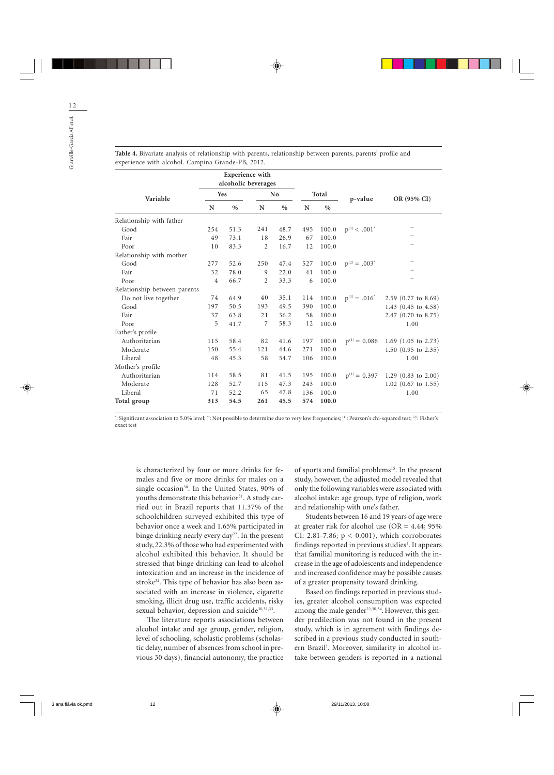|                              | <b>Experience</b> with<br>alcoholic beverages |      |                |      |       |       |                               |                                |
|------------------------------|-----------------------------------------------|------|----------------|------|-------|-------|-------------------------------|--------------------------------|
| Variable                     | <b>Yes</b>                                    |      | No             |      | Total |       | p-value                       | OR (95% CI)                    |
|                              | N                                             | $\%$ | N              | $\%$ | N     | $\%$  |                               |                                |
| Relationship with father     |                                               |      |                |      |       |       |                               |                                |
| Good                         | 254                                           | 51.3 | 241            | 48.7 | 495   | 100.0 | $p^{(1)}$ < .001 <sup>*</sup> | ××                             |
| Fair                         | 49                                            | 73.1 | 18             | 26.9 | 67    | 100.0 |                               | ××                             |
| Poor                         | 10                                            | 83.3 | $\overline{2}$ | 16.7 | 12    | 100.0 |                               | $**$                           |
| Relationship with mother     |                                               |      |                |      |       |       |                               |                                |
| Good                         | 277                                           | 52.6 | 250            | 47.4 | 527   | 100.0 | $p^{(2)} = .003^*$            | ××                             |
| Fair                         | 32                                            | 78.0 | 9              | 22.0 | 41    | 100.0 |                               | ××                             |
| Poor                         | $\overline{4}$                                | 66.7 | $\overline{2}$ | 33.3 | 6     | 100.0 |                               | $**$                           |
| Relationship between parents |                                               |      |                |      |       |       |                               |                                |
| Do not live together         | 74                                            | 64.9 | 40             | 35.1 | 114   | 100.0 | $p^{(1)} = .016^*$            | $2.59$ (0.77 to 8.69)          |
| Good                         | 197                                           | 50.5 | 193            | 49.5 | 390   | 100.0 |                               | 1.43 $(0.45 \text{ to } 4.58)$ |
| Fair                         | 37                                            | 63.8 | 21             | 36.2 | 58    | 100.0 |                               | $2.47$ (0.70 to 8.75)          |
| Poor                         | 5                                             | 41.7 | 7              | 58.3 | 12    | 100.0 |                               | 1.00                           |
| Father's profile             |                                               |      |                |      |       |       |                               |                                |
| Authoritarian                | 115                                           | 58.4 | 82             | 41.6 | 197   | 100.0 | $p^{(1)} = 0.086$             | 1.69 $(1.05 \text{ to } 2.73)$ |
| Moderate                     | 150                                           | 55.4 | 121            | 44.6 | 271   | 100.0 |                               | $1.50$ (0.95 to 2.35)          |
| Liberal                      | 48                                            | 45.3 | 58             | 54.7 | 106   | 100.0 |                               | 1.00                           |
| Mother's profile             |                                               |      |                |      |       |       |                               |                                |
| Authoritarian                | 114                                           | 58.5 | 81             | 41.5 | 195   | 100.0 | $p^{(1)} = 0.397$             | 1.29 $(0.83 \text{ to } 2.00)$ |
| Moderate                     | 128                                           | 52.7 | 115            | 47.3 | 243   | 100.0 |                               | $1.02$ (0.67 to 1.55)          |
| Liberal                      | 71                                            | 52.2 | 65             | 47.8 | 136   | 100.0 |                               | 1.00                           |
| Total group                  | 313                                           | 54.5 | 261            | 45.5 | 574   | 100.0 |                               |                                |

**Table 4.** Bivariate analysis of relationship with parents, relationship between parents, parents' profile and experience with alcohol. Campina Grande-PB, 2012.

\* : Significant association to 5.0% level; \*\*: Not possible to determine due to very low frequencies; (1): Pearson's chi-squared test; (2): Fisher's exact test

is characterized by four or more drinks for females and five or more drinks for males on a single occasion<sup>30</sup>. In the United States, 90% of youths demonstrate this behavior<sup>31</sup>. A study carried out in Brazil reports that 11.37% of the schoolchildren surveyed exhibited this type of behavior once a week and 1.65% participated in binge drinking nearly every day<sup>22</sup>. In the present study, 22.3% of those who had experimented with alcohol exhibited this behavior. It should be stressed that binge drinking can lead to alcohol intoxication and an increase in the incidence of stroke<sup>32</sup>. This type of behavior has also been associated with an increase in violence, cigarette smoking, illicit drug use, traffic accidents, risky sexual behavior, depression and suicide<sup>30,31,33</sup>.

The literature reports associations between alcohol intake and age group, gender, religion, level of schooling, scholastic problems (scholastic delay, number of absences from school in previous 30 days), financial autonomy, the practice of sports and familial problems<sup>15</sup>. In the present study, however, the adjusted model revealed that only the following variables were associated with alcohol intake: age group, type of religion, work and relationship with one's father.

Students between 16 and 19 years of age were at greater risk for alcohol use  $(OR = 4.44; 95\%)$ CI: 2.81-7.86;  $p < 0.001$ ), which corroborates findings reported in previous studies<sup>1</sup>. It appears that familial monitoring is reduced with the increase in the age of adolescents and independence and increased confidence may be possible causes of a greater propensity toward drinking.

Based on findings reported in previous studies, greater alcohol consumption was expected among the male gender $22,30,34$ . However, this gender predilection was not found in the present study, which is in agreement with findings described in a previous study conducted in southern Brazil<sup>1</sup>. Moreover, similarity in alcohol intake between genders is reported in a national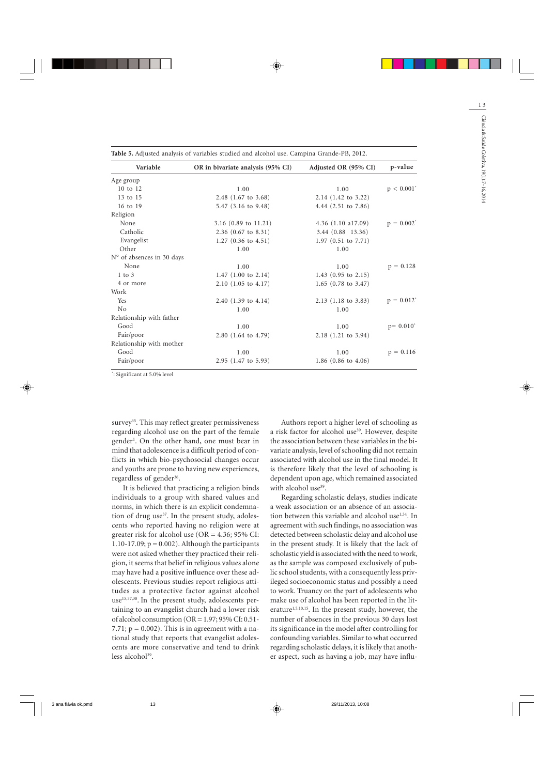| Variable                  | OR in bivariate analysis (95% CI) | Adjusted OR (95% CI)           | p-value                  |  |
|---------------------------|-----------------------------------|--------------------------------|--------------------------|--|
| Age group                 |                                   |                                |                          |  |
| 10 to 12                  | 1.00                              | 1.00                           | $p < 0.001$ <sup>*</sup> |  |
| 13 to 15                  | 2.48 $(1.67 \text{ to } 3.68)$    | $2.14$ (1.42 to 3.22)          |                          |  |
| $16$ to $19$              | 5.47 $(3.16 \text{ to } 9.48)$    | 4.44 $(2.51 \text{ to } 7.86)$ |                          |  |
| Religion                  |                                   |                                |                          |  |
| None                      | 3.16 $(0.89 \text{ to } 11.21)$   | $4.36$ $(1.10$ a17.09)         | $p = 0.002^*$            |  |
| Catholic                  | $2.36$ (0.67 to 8.31)             | 3.44 (0.88 13.36)              |                          |  |
| Evangelist                | 1.27 $(0.36 \text{ to } 4.51)$    | $1.97$ (0.51 to 7.71)          |                          |  |
| Other                     | 1.00                              | 1.00                           |                          |  |
| N° of absences in 30 days |                                   |                                |                          |  |
| None                      | 1.00                              | 1.00                           | $p = 0.128$              |  |
| $1$ to $3$                | 1.47 $(1.00 \text{ to } 2.14)$    | 1.43 $(0.95 \text{ to } 2.15)$ |                          |  |
| 4 or more                 | $2.10$ (1.05 to 4.17)             | 1.65 $(0.78 \text{ to } 3.47)$ |                          |  |
| Work                      |                                   |                                |                          |  |
| <b>Yes</b>                | 2.40 $(1.39 \text{ to } 4.14)$    | $2.13$ (1.18 to 3.83)          | $p = 0.012^*$            |  |
| No                        | 1.00                              | 1.00                           |                          |  |
| Relationship with father  |                                   |                                |                          |  |
| Good                      | 1.00                              | 1.00                           | $p = 0.010^*$            |  |
| Fair/poor                 | 2.80 (1.64 to 4.79)               | $2.18$ (1.21 to 3.94)          |                          |  |
| Relationship with mother  |                                   |                                |                          |  |
| Good                      | 1.00                              | 1.00                           | $p = 0.116$              |  |
| Fair/poor                 | 2.95 (1.47 to 5.93)               | 1.86 $(0.86 \text{ to } 4.06)$ |                          |  |

**Table 5.** Adjusted analysis of variables studied and alcohol use. Campina Grande-PB, 2012.

\* : Significant at 5.0% level

survey<sup>35</sup>. This may reflect greater permissiveness regarding alcohol use on the part of the female gender1 . On the other hand, one must bear in mind that adolescence is a difficult period of conflicts in which bio-psychosocial changes occur and youths are prone to having new experiences, regardless of gender<sup>36</sup>.

It is believed that practicing a religion binds individuals to a group with shared values and norms, in which there is an explicit condemnation of drug use<sup>37</sup>. In the present study, adolescents who reported having no religion were at greater risk for alcohol use ( $OR = 4.36$ ; 95% CI: 1.10-17.09;  $p = 0.002$ ). Although the participants were not asked whether they practiced their religion, it seems that belief in religious values alone may have had a positive influence over these adolescents. Previous studies report religious attitudes as a protective factor against alcohol use<sup>15,37,38</sup>. In the present study, adolescents pertaining to an evangelist church had a lower risk of alcohol consumption ( $OR = 1.97$ ;  $95\%$  CI: 0.51-7.71;  $p = 0.002$ ). This is in agreement with a national study that reports that evangelist adolescents are more conservative and tend to drink less alcohol $39$ .

Authors report a higher level of schooling as a risk factor for alcohol use<sup>39</sup>. However, despite the association between these variables in the bivariate analysis, level of schooling did not remain associated with alcohol use in the final model. It is therefore likely that the level of schooling is dependent upon age, which remained associated with alcohol use<sup>39</sup>.

Regarding scholastic delays, studies indicate a weak association or an absence of an association between this variable and alcohol use<sup>1,34</sup>. In agreement with such findings, no association was detected between scholastic delay and alcohol use in the present study. It is likely that the lack of scholastic yield is associated with the need to work, as the sample was composed exclusively of public school students, with a consequently less privileged socioeconomic status and possibly a need to work. Truancy on the part of adolescents who make use of alcohol has been reported in the literature<sup>1,5,10,15</sup>. In the present study, however, the number of absences in the previous 30 days lost its significance in the model after controlling for confounding variables. Similar to what occurred regarding scholastic delays, it is likely that another aspect, such as having a job, may have influ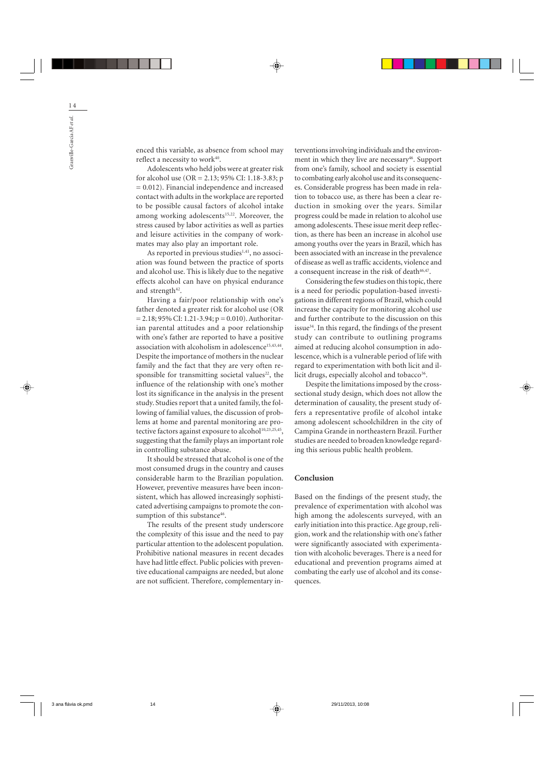enced this variable, as absence from school may reflect a necessity to work<sup>40</sup>.

Adolescents who held jobs were at greater risk for alcohol use (OR = 2.13; 95% CI: 1.18-3.83; p = 0.012). Financial independence and increased contact with adults in the workplace are reported to be possible causal factors of alcohol intake among working adolescents<sup>15,22</sup>. Moreover, the stress caused by labor activities as well as parties and leisure activities in the company of workmates may also play an important role.

As reported in previous studies $1,41$ , no association was found between the practice of sports and alcohol use. This is likely due to the negative effects alcohol can have on physical endurance and strength $42$ .

Having a fair/poor relationship with one's father denoted a greater risk for alcohol use (OR  $= 2.18$ ; 95% CI: 1.21-3.94; p = 0.010). Authoritarian parental attitudes and a poor relationship with one's father are reported to have a positive association with alcoholism in adolescence<sup>15,43,44</sup>. Despite the importance of mothers in the nuclear family and the fact that they are very often responsible for transmitting societal values<sup>22</sup>, the influence of the relationship with one's mother lost its significance in the analysis in the present study. Studies report that a united family, the following of familial values, the discussion of problems at home and parental monitoring are protective factors against exposure to alcohol<sup>10,23,25,45</sup>, suggesting that the family plays an important role in controlling substance abuse.

It should be stressed that alcohol is one of the most consumed drugs in the country and causes considerable harm to the Brazilian population. However, preventive measures have been inconsistent, which has allowed increasingly sophisticated advertising campaigns to promote the consumption of this substance<sup>46</sup>.

The results of the present study underscore the complexity of this issue and the need to pay particular attention to the adolescent population. Prohibitive national measures in recent decades have had little effect. Public policies with preventive educational campaigns are needed, but alone are not sufficient. Therefore, complementary interventions involving individuals and the environment in which they live are necessary<sup>46</sup>. Support from one's family, school and society is essential to combating early alcohol use and its consequences. Considerable progress has been made in relation to tobacco use, as there has been a clear reduction in smoking over the years. Similar progress could be made in relation to alcohol use among adolescents. These issue merit deep reflection, as there has been an increase in alcohol use among youths over the years in Brazil, which has been associated with an increase in the prevalence of disease as well as traffic accidents, violence and a consequent increase in the risk of death<sup>46,47</sup>.

Considering the few studies on this topic, there is a need for periodic population-based investigations in different regions of Brazil, which could increase the capacity for monitoring alcohol use and further contribute to the discussion on this issue $34$ . In this regard, the findings of the present study can contribute to outlining programs aimed at reducing alcohol consumption in adolescence, which is a vulnerable period of life with regard to experimentation with both licit and illicit drugs, especially alcohol and tobacco $36$ .

Despite the limitations imposed by the crosssectional study design, which does not allow the determination of causality, the present study offers a representative profile of alcohol intake among adolescent schoolchildren in the city of Campina Grande in northeastern Brazil. Further studies are needed to broaden knowledge regarding this serious public health problem.

## **Conclusion**

Based on the findings of the present study, the prevalence of experimentation with alcohol was high among the adolescents surveyed, with an early initiation into this practice. Age group, religion, work and the relationship with one's father were significantly associated with experimentation with alcoholic beverages. There is a need for educational and prevention programs aimed at combating the early use of alcohol and its consequences.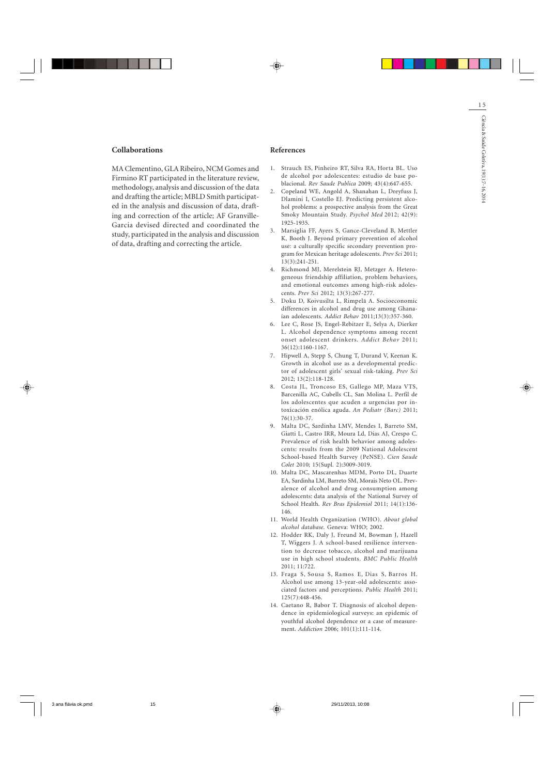## **Collaborations**

MA Clementino, GLA Ribeiro, NCM Gomes and Firmino RT participated in the literature review, methodology, analysis and discussion of the data and drafting the article; MBLD Smith participated in the analysis and discussion of data, drafting and correction of the article; AF Granville-Garcia devised directed and coordinated the study, participated in the analysis and discussion of data, drafting and correcting the article.

### **References**

- 1. Strauch ES, Pinheiro RT, Silva RA, Horta BL. Uso de alcohol por adolescentes: estudio de base poblacional. *Rev Saude Publica* 2009; 43(4):647-655.
- Copeland WE, Angold A, Shanahan L, Dreyfuss J, Dlamini I, Costello EJ. Predicting persistent alcohol problems: a prospective analysis from the Great Smoky Mountain Study. *Psychol Med* 2012; 42(9): 1925-1935. 2.
- Marsiglia FF, Ayers S, Gance-Cleveland B, Mettler 3. K, Booth J. Beyond primary prevention of alcohol use: a culturally specific secondary prevention program for Mexican heritage adolescents. *Prev Sci* 2011; 13(3):241-251.
- 4. Richmond MJ, Merelstein RJ, Metzger A. Heterogeneous friendship affiliation, problem behaviors, and emotional outcomes among high-risk adolescents. *Prev Sci* 2012; 13(3):267-277.
- Doku D, Koivusilta L, Rimpelä A. Socioeconomic 5. differences in alcohol and drug use among Ghanaian adolescents. *Addict Behav* 2011;13(3):357-360.
- Lee C, Rose JS, Engel-Rebitzer E, Selya A, Dierker 6. L. Alcohol dependence symptoms among recent onset adolescent drinkers. *Addict Behav* 2011; 36(12):1160-1167.
- 7. Hipwell A, Stepp S, Chung T, Durand V, Keenan K. Growth in alcohol use as a developmental predictor of adolescent girls' sexual risk-taking. *Prev Sci* 2012; 13(2):118-128.
- Costa JL, Troncoso ES, Gallego MP, Maza VTS, 8. Barcenilla AC, Cubells CL, San Molina L. Perfil de los adolescentes que acuden a urgencias por intoxicación enólica aguda. *An Pediatr (Barc)* 2011; 76(1):30-37.
- Malta DC, Sardinha LMV, Mendes I, Barreto SM, 9. Giatti L, Castro IRR, Moura Ld, Dias AJ, Crespo C. Prevalence of risk health behavior among adolescents: results from the 2009 National Adolescent School-based Health Survey (PeNSE). *Cien Saude Colet* 2010; 15(Supl. 2):3009-3019.
- 10. Malta DC, Mascarenhas MDM, Porto DL, Duarte EA, Sardinha LM, Barreto SM, Morais Neto OL. Prevalence of alcohol and drug consumption among adolescents: data analysis of the National Survey of School Health. *Rev Bras Epidemiol* 2011; 14(1):136- 146.
- World Health Organization (WHO). *About global* 11. *alcohol database*. Geneva: WHO; 2002.
- 12. Hodder RK, Daly J, Freund M, Bowman J, Hazell T, Wiggers J. A school-based resilience intervention to decrease tobacco, alcohol and marijuana use in high school students. *BMC Public Health* 2011; 11:722.
- Fraga S, Sousa S, Ramos E, Dias S, Barros H. 13. Alcohol use among 13-year-old adolescents: associated factors and perceptions. *Public Health* 2011; 125(7):448-456.
- 14. Caetano R, Babor T. Diagnosis of alcohol dependence in epidemiological surveys: an epidemic of youthful alcohol dependence or a case of measurement. *Addiction* 2006; 101(1):111-114.